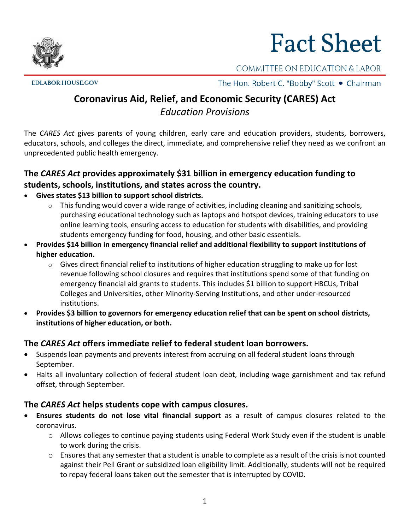# **Fact Sheet**

COMMITTEE ON EDUCATION & LABOR

**EDLABOR.HOUSE.GOV** 

The Hon. Robert C. "Bobby" Scott • Chairman

# **Coronavirus Aid, Relief, and Economic Security (CARES) Act** *Education Provisions*

The *CARES Act* gives parents of young children, early care and education providers, students, borrowers, educators, schools, and colleges the direct, immediate, and comprehensive relief they need as we confront an unprecedented public health emergency.

## **The** *CARES Act* **provides approximately \$31 billion in emergency education funding to students, schools, institutions, and states across the country.**

- **Gives states \$13 billion to support school districts.**
	- $\circ$  This funding would cover a wide range of activities, including cleaning and sanitizing schools, purchasing educational technology such as laptops and hotspot devices, training educators to use online learning tools, ensuring access to education for students with disabilities, and providing students emergency funding for food, housing, and other basic essentials.
- **Provides \$14 billion in emergency financial relief and additional flexibility to support institutions of higher education.**
	- o Gives direct financial relief to institutions of higher education struggling to make up for lost revenue following school closures and requires that institutions spend some of that funding on emergency financial aid grants to students. This includes \$1 billion to support HBCUs, Tribal Colleges and Universities, other Minority-Serving Institutions, and other under-resourced institutions.
- **Provides \$3 billion to governors for emergency education relief that can be spent on school districts, institutions of higher education, or both.**

### **The** *CARES Act* **offers immediate relief to federal student loan borrowers.**

- Suspends loan payments and prevents interest from accruing on all federal student loans through September.
- Halts all involuntary collection of federal student loan debt, including wage garnishment and tax refund offset, through September.

### **The** *CARES Act* **helps students cope with campus closures.**

• **Ensures students do not lose vital financial support** as a result of campus closures related to the coronavirus.

1

- o Allows colleges to continue paying students using Federal Work Study even if the student is unable to work during the crisis.
- $\circ$  Ensures that any semester that a student is unable to complete as a result of the crisis is not counted against their Pell Grant or subsidized loan eligibility limit. Additionally, students will not be required to repay federal loans taken out the semester that is interrupted by COVID.